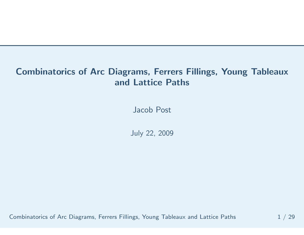## Combinatorics of Arc Diagrams, Ferrers Fillings, Young Tableauxand Lattice Paths

Jacob Post

July 22, <sup>2009</sup>

Combinatorics of Arc Diagrams, Ferrers Fillings, Young Tableaux and Lattice Paths  $\, \, 1 \,$  / 29  $\,$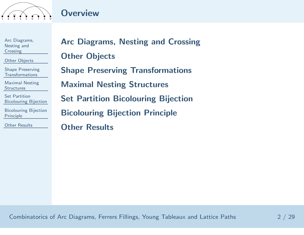

#### **Overview**

Arc [Diagrams,](#page-2-0) Nesting and**Crossing** 

Other [Objects](#page-10-0)

Shape Preserving[Transformations](#page-18-0)

Maximal Nesting**[Structures](#page-24-0)** 

Set Partition[Bicolouring](#page-41-0) Bijection

[Bicolouring](#page-50-0) BijectionPrinciple

Other [Results](#page-56-0)

Arc [Diagrams,](#page-2-0) Nesting and CrossingOther [Objects](#page-10-0)Shape Preserving [Transformations](#page-18-0)Maximal Nesting [Structures](#page-24-0)Set Partition [Bicolouring](#page-41-0) Bijection[Bicolouring](#page-50-0) Bijection Principle**Other [Results](#page-56-0)**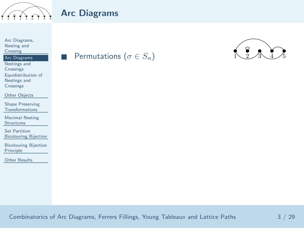<span id="page-2-0"></span>

■

Arc [Diagrams,](#page-2-0) Nesting and**Crossing** 

#### Arc [Diagrams](#page-2-0)

 Nestings and[Crossings](#page-6-0) [Equidistribution](#page-8-0) of Nestings andCrossings

Other [Objects](#page-10-0)

Shape Preserving[Transformations](#page-18-0)

Maximal Nesting**[Structures](#page-24-0)** 

Set Partition[Bicolouring](#page-41-0) Bijection

[Bicolouring](#page-50-0) BijectionPrinciple

Other [Results](#page-56-0)

Permutations ( $\sigma \in S_n$ )



Combinatorics of Arc Diagrams, Ferrers Fillings, Young Tableaux and Lattice Paths <sup>3</sup> / <sup>29</sup>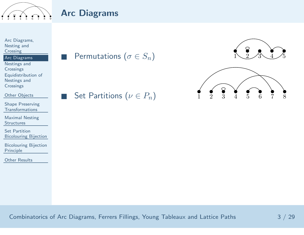

■

#### Arc [Diagrams,](#page-2-0) Nesting and**Crossing**

#### Arc [Diagrams](#page-2-0)

 Nestings and**[Crossings](#page-6-0)**  [Equidistribution](#page-8-0) of Nestings and**Crossings** 

Other [Objects](#page-10-0)

Shape Preserving[Transformations](#page-18-0)

Maximal Nesting**[Structures](#page-24-0)** 

Set Partition[Bicolouring](#page-41-0) Bijection

[Bicolouring](#page-50-0) BijectionPrinciple

Other [Results](#page-56-0)

■Permutations ( $\sigma \in S_n$ )

Set Partitions ( $\nu \in P_n$ )

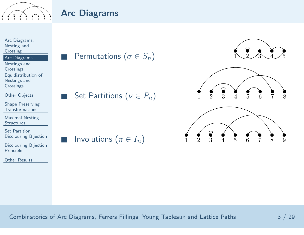

■

■

■

#### Arc [Diagrams,](#page-2-0) Nesting and**Crossing**

#### Arc [Diagrams](#page-2-0)

 Nestings and**[Crossings](#page-6-0)**  [Equidistribution](#page-8-0) of Nestings and**Crossings** 

Other [Objects](#page-10-0)

Shape Preserving[Transformations](#page-18-0)

Maximal Nesting**[Structures](#page-24-0)** 

Set Partition[Bicolouring](#page-41-0) Bijection

[Bicolouring](#page-50-0) BijectionPrinciple

Other [Results](#page-56-0)

Permutations ( $\sigma \in S_n$ )

Set Partitions ( $\nu \in P_n$ )

Involutions ( $\pi \in I_n$ )

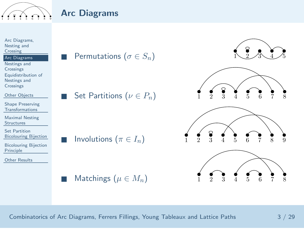



■



Combinatorics of Arc Diagrams, Ferrers Fillings, Young Tableaux and Lattice Paths <sup>3</sup> / <sup>29</sup>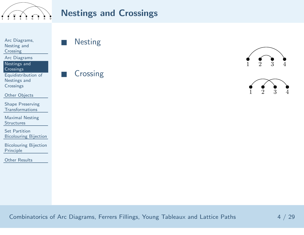<span id="page-6-0"></span>

#### Nestings and Crossings

Arc [Diagrams,](#page-2-0) Nesting and

**Crossing** 

Arc [Diagrams](#page-2-0)

 Nestings and[Crossings](#page-6-0)

 [Equidistribution](#page-8-0) of Nestings andCrossings

Other [Objects](#page-10-0)

Shape Preserving[Transformations](#page-18-0)

Maximal Nesting**[Structures](#page-24-0)** 

Set Partition[Bicolouring](#page-41-0) Bijection

[Bicolouring](#page-50-0) BijectionPrinciple

Other [Results](#page-56-0)

■**Nesting** 

Crossing

■



Combinatorics of Arc Diagrams, Ferrers Fillings, Young Tableaux and Lattice Paths  $\hskip1cm 4 \;/ \;29$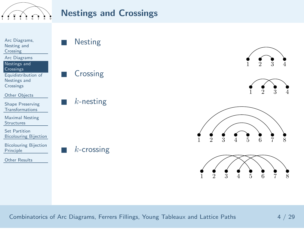

#### Nestings and Crossings



Combinatorics of Arc Diagrams, Ferrers Fillings, Young Tableaux and Lattice Paths  $\hskip1cm 4 \;/ \;29$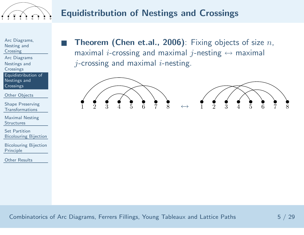<span id="page-8-0"></span>

# Equidistribution of Nestings and Crossings

Arc [Diagrams,](#page-2-0) Nesting and**Crossing** 

■

 Arc [Diagrams](#page-2-0) Nestings and**[Crossings](#page-6-0)** 

 [Equidistribution](#page-8-0) of Nestings andCrossings

Other [Objects](#page-10-0)

Shape Preserving[Transformations](#page-18-0)

Maximal Nesting**[Structures](#page-24-0)** 

Set Partition[Bicolouring](#page-41-0) Bijection

[Bicolouring](#page-50-0) BijectionPrinciple

Other [Results](#page-56-0)

**Theorem (Chen et.al., 2006)**: Fixing objects of size  $n$ , maximal  $i$ -crossing and maximal  $j$ -nesting  $\leftrightarrow$  maximal<br> $i$  crossing and maximal  $i$  nesting  $j$ -crossing and maximal  $i$ -nesting.

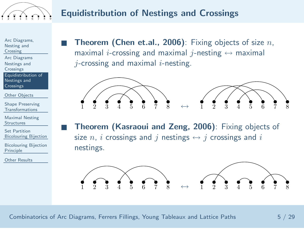

■

■

# Equidistribution of Nestings and Crossings

Arc [Diagrams,](#page-2-0) Nesting and**Crossing** 

Arc [Diagrams](#page-2-0) Nestings and**[Crossings](#page-6-0)** 

[Equidistribution](#page-8-0) of Nestings andCrossings

Other [Objects](#page-10-0)

Shape Preserving[Transformations](#page-18-0)

Maximal Nesting**[Structures](#page-24-0)** 

Set Partition[Bicolouring](#page-41-0) Bijection

[Bicolouring](#page-50-0) BijectionPrinciple

Other [Results](#page-56-0)

**Theorem (Chen et.al., 2006)**: Fixing objects of size  $n$ , maximal  $i$ -crossing and maximal  $j$ -nesting  $\leftrightarrow$  maximal<br> $i$  crossing and maximal  $i$  nesting  $j$ -crossing and maximal  $i$ -nesting.



 Theorem (Kasraoui and Zeng, 2006): Fixing objects of size  $n$ ,  $i$  crossings and  $j$  nestings  $\leftrightarrow j$  crossings and  $i$ <br>nestings nestings.



Combinatorics of Arc Diagrams, Ferrers Fillings, Young Tableaux and Lattice Paths  $5 \;/ \;29$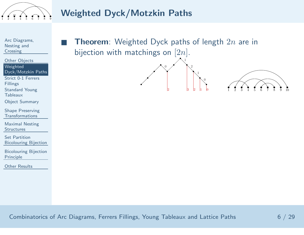<span id="page-10-0"></span>

# Weighted Dyck/Motzkin Paths

Arc [Diagrams,](#page-2-0) Nesting and**Crossing** 

Other [Objects](#page-10-0)Weighted[Dyck/Motzkin](#page-10-0) Paths ■

Strict 0-1 Ferrers

[Fillings](#page-12-0)

[Standard](#page-14-0) Young

**Tableaux** 

Object [Summary](#page-17-0)

Shape Preserving[Transformations](#page-18-0)

Maximal Nesting**[Structures](#page-24-0)** 

Set Partition[Bicolouring](#page-41-0) Bijection

[Bicolouring](#page-50-0) BijectionPrinciple

Other [Results](#page-56-0)

**Theorem**: Weighted Dyck paths of length  $2n$  are in bijection with matchings on  $[2n].$ 

2  $|3 \t|2 \t|1 \t|0$ 

0  $\begin{pmatrix} 1 \\ 2 \\ 3 \end{pmatrix}$   $\begin{pmatrix} 2 \\ 1 \\ 2 \end{pmatrix}$  0  $\begin{pmatrix} 0 \\ 1 \end{pmatrix}$  1  $\begin{pmatrix} 0 \\ 2 \end{pmatrix}$  3  $\begin{pmatrix} 1 \\ 4 \end{pmatrix}$  5  $\begin{pmatrix} 0 \\ 0 \end{pmatrix}$  7  $\begin{pmatrix} 0 \\ 3 \end{pmatrix}$  10

Combinatorics of Arc Diagrams, Ferrers Fillings, Young Tableaux and Lattice Paths  $\qquad \qquad \qquad 6 \;/ \; 29$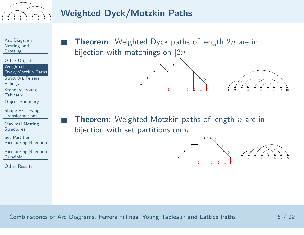

## Weighted Dyck/Motzkin Paths

Arc [Diagrams,](#page-2-0) Nesting and**Crossing** 

Other [Objects](#page-10-0)**Weighted** [Dyck/Motzkin](#page-10-0) Paths ■

■

Strict 0-1 Ferrers [Fillings](#page-12-0)

[Standard](#page-14-0) Young

- **Tableaux**
- Object [Summary](#page-17-0)

Shape Preserving[Transformations](#page-18-0)

Maximal Nesting**[Structures](#page-24-0)** 

Set Partition[Bicolouring](#page-41-0) Bijection

[Bicolouring](#page-50-0) BijectionPrinciple

Other [Results](#page-56-0)

**Theorem**: Weighted Dyck paths of length  $2n$  are in bijection with matchings on  $[2n].$ 

**Theorem**: Weighted Motzkin paths of length  $n$  are in bijection with set partitions on  $n_{\cdot}$ 

2  $|3 \t|2 \t|1 \t|0$ 



0  $\begin{pmatrix} 1 \\ 2 \\ 3 \end{pmatrix}$   $\begin{pmatrix} 2 \\ 1 \\ 2 \end{pmatrix}$  0  $\begin{pmatrix} 0 \\ 1 \end{pmatrix}$  1  $\begin{pmatrix} 0 \\ 2 \end{pmatrix}$  3  $\begin{pmatrix} 1 \\ 4 \end{pmatrix}$  5  $\begin{pmatrix} 0 \\ 0 \end{pmatrix}$  7  $\begin{pmatrix} 0 \\ 3 \end{pmatrix}$  10

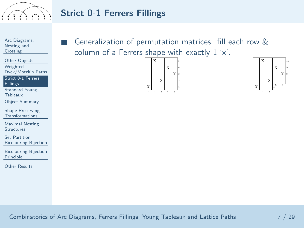<span id="page-12-0"></span>

# Strict 0-1 Ferrers Fillings

Arc [Diagrams,](#page-2-0) Nesting and**Crossing** 

Other [Objects](#page-10-0)Weighted[Dyck/Motzkin](#page-10-0) Paths ■

Strict 0-1 Ferrers **[Fillings](#page-12-0)** 

 [Standard](#page-14-0) Young**Tableaux** 

Object [Summary](#page-17-0)

Shape Preserving[Transformations](#page-18-0)

Maximal Nesting**[Structures](#page-24-0)** 

Set Partition[Bicolouring](#page-41-0) Bijection

[Bicolouring](#page-50-0) BijectionPrinciple

Other [Results](#page-56-0)

 Generalization of permutation matrices: fill each row &column of <sup>a</sup> Ferrers shape with exactly <sup>1</sup> 'x'.



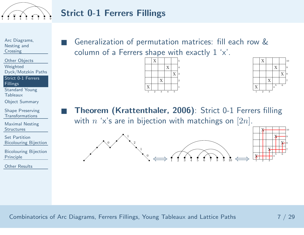

# Strict 0-1 Ferrers Fillings

Arc [Diagrams,](#page-2-0) Nesting and**Crossing** 

Other [Objects](#page-10-0)Weighted[Dyck/Motzkin](#page-10-0) Paths ■

Strict 0-1 Ferrers **[Fillings](#page-12-0)** 

[Standard](#page-14-0) Young**Tableaux** 

Object [Summary](#page-17-0)

Shape Preserving[Transformations](#page-18-0)

Maximal Nesting**[Structures](#page-24-0)** 

Set Partition[Bicolouring](#page-41-0) Bijection

[Bicolouring](#page-50-0) BijectionPrinciple

Other [Results](#page-56-0)

 Generalization of permutation matrices: fill each row &column of <sup>a</sup> Ferrers shape with exactly <sup>1</sup> 'x'.





X

X

<sup>1</sup> <sup>2</sup> <sup>3</sup>

 $\bf{X}$ 

 $\bf{X}$ 

4<sup>5</sup> <sup>6</sup>

■ Theorem (Krattenthaler, 2006): Strict 0-1 Ferrers filling with  $n$  'x's are in bijection with matchings on  $[2n].$ 

 $\Rightarrow$  1 2 3 4 5 6 7 8 9 10  $\iff$ 

0

 $\begin{array}{c} \begin{array}{ccc} & & & 1 \\ \hline & & & 2 \end{array} \end{array}$ 

1

0

⇐⇒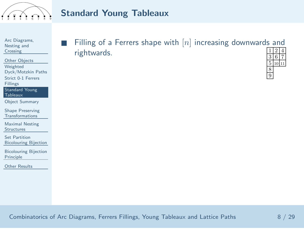<span id="page-14-0"></span>

## Standard Young Tableaux

Arc [Diagrams,](#page-2-0) Nesting and**Crossing** 

Other [Objects](#page-10-0)Weighted [Dyck/Motzkin](#page-10-0) PathsStrict 0-1 Ferrers[Fillings](#page-12-0)

■

 [Standard](#page-14-0) YoungTableaux

Object [Summary](#page-17-0)

Shape Preserving[Transformations](#page-18-0)

Maximal Nesting**[Structures](#page-24-0)** 

Set Partition[Bicolouring](#page-41-0) Bijection

[Bicolouring](#page-50-0) BijectionPrinciple

Other [Results](#page-56-0)

Filling of a Ferrers shape with  $[n]$  increasing downwards and rightwards. $\frac{1}{3} \frac{2}{6} \frac{4}{7}$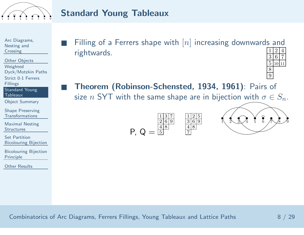

## Standard Young Tableaux

Arc [Diagrams,](#page-2-0) Nesting and**Crossing** 

■

■

Other [Objects](#page-10-0)Weighted [Dyck/Motzkin](#page-10-0) PathsStrict 0-1 Ferrers

[Fillings](#page-12-0)

 [Standard](#page-14-0) YoungTableaux

Object [Summary](#page-17-0)

Shape Preserving[Transformations](#page-18-0)

Maximal Nesting**[Structures](#page-24-0)** 

Set Partition[Bicolouring](#page-41-0) Bijection

[Bicolouring](#page-50-0) BijectionPrinciple

Other [Results](#page-56-0)

Filling of a Ferrers shape with  $[n]$  increasing downwards and rightwards. $\frac{1}{3} \frac{2}{6} \frac{4}{7}$ 

6 5 <sup>10</sup> <sup>11</sup> 89

 Theorem (Robinson-Schensted, 1934, 1961): Pairs of size  $n$  SYT with the same shape are in bijection with  $\sigma \in S_n.$ 





Combinatorics of Arc Diagrams, Ferrers Fillings, Young Tableaux and Lattice Paths <sup>8</sup> / <sup>29</sup>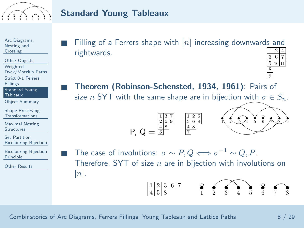

## Standard Young Tableaux

Arc [Diagrams,](#page-2-0) Nesting andCrossing

Other [Objects](#page-10-0)Weighted [Dyck/Motzkin](#page-10-0) PathsStrict 0-1 Ferrers[Fillings](#page-12-0)

■

■

 [Standard](#page-14-0) YoungTableaux

Object [Summary](#page-17-0)

Shape Preserving[Transformations](#page-18-0)

Maximal Nesting**[Structures](#page-24-0)** 

Set Partition[Bicolouring](#page-41-0) Bijection

[Bicolouring](#page-50-0) BijectionPrinciple

Other [Results](#page-56-0)

- ■Filling of a Ferrers shape with  $[n]$  increasing downwards and rightwards. $\frac{1}{3} \frac{2}{6} \frac{4}{7}$ 6
	- Theorem (Robinson-Schensted, 1934, 1961): Pairs of size  $n$  SYT with the same shape are in bijection with  $\sigma \in S_n.$

$$
P, Q = \frac{\frac{1137}{269}}{\frac{48}{5}} \quad \frac{\frac{125}{369}}{\frac{48}{7}}
$$



5<sup>10</sup> <sup>11</sup>

89

The case of involutions:  $σ \sim P$ ,  $Q \Longleftrightarrow σ^{-1} \sim Q$ ,  $P$ .<br>Therefore, SYT of size  $n$  are in bijection with involu e  $n$  are in bijection with involutions on  $|n|.$ 

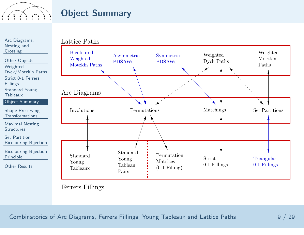<span id="page-17-0"></span>

### Object Summary

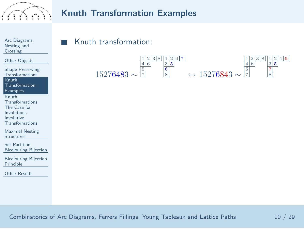<span id="page-18-0"></span>

#### Knuth Transformation Examples

| Arc Diagrams, |
|---------------|
| Nesting and   |
| Crossing      |

■

Other [Objects](#page-10-0)

- Shape Preserving [Transformations](#page-18-0)Knuth [Transformation](#page-18-0)ExamplesKnuth [Transformations](#page-20-0)The Case for
- [Involutions](#page-22-0)
- Involutive
- [Transformations](#page-23-0)

Maximal Nesting**[Structures](#page-24-0)** 

Set Partition[Bicolouring](#page-41-0) Bijection

[Bicolouring](#page-50-0) BijectionPrinciple

Other [Results](#page-56-0)

#### Knuth transformation:

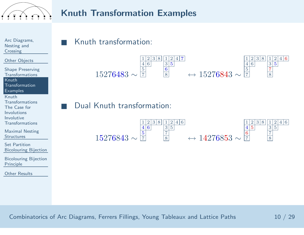

#### Knuth Transformation Examples

Arc [Diagrams,](#page-2-0) Nesting and**Crossing** 

■

■

Other [Objects](#page-10-0)

Shape Preserving [Transformations](#page-18-0)Knuth [Transformation](#page-18-0)**Examples** 

Knuth [Transformations](#page-20-0)The Case for[Involutions](#page-22-0)Involutive

 [Transformations](#page-23-0)Maximal Nesting

**[Structures](#page-24-0)** 

Set Partition[Bicolouring](#page-41-0) Bijection

[Bicolouring](#page-50-0) BijectionPrinciple

Other [Results](#page-56-0)

#### Knuth transformation:



Dual Knuth transformation:

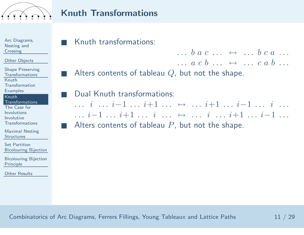<span id="page-20-0"></span>

#### Knuth Transformations

Arc [Diagrams,](#page-2-0) Nesting and**Crossing** 

■

■

■

■

Other [Objects](#page-10-0)

Shape Preserving [Transformations](#page-18-0)Knuth [Transformation](#page-18-0)**Examples** 

Knuth[Transformations](#page-20-0)

The Case for**[Involutions](#page-22-0)**  Involutive[Transformations](#page-23-0)

Maximal Nesting**[Structures](#page-24-0)** 

Set Partition[Bicolouring](#page-41-0) Bijection

[Bicolouring](#page-50-0) BijectionPrinciple

Other [Results](#page-56-0)

Knuth transformations:

 $\cdots$  b a c  $\cdots$   $\leftrightarrow$   $\cdots$  b c a  $\cdots$ <br>a c b  $\cdots$  $a \cdot c \cdot b \cdot \cdots \leftrightarrow \cdots c \cdot a \cdot b \cdot \cdots$ Alters contents of tableau  $Q$ , but not the shape.

 Dual Knuth transformations:  $\cdots i \quad \cdots i-1 \; \cdots i+1 \; \cdots \; \leftrightarrow \; \cdots i+1 \; \cdots i-1 \; \cdots \; i \; \cdots$ <br>  $\cdots i-1 \quad \cdots i+1 \; \cdots \; i \; \cdots \; i \; \cdots \; i-1 \; \cdots \; i-1$ . . . <sup>i</sup>−<sup>1</sup> . . . <sup>i</sup>+1 . . . <sup>i</sup> . . . <sup>↔</sup> . . . <sup>i</sup> . . . <sup>i</sup>+1 . . . <sup>i</sup>−<sup>1</sup> . . . Alters contents of tableau  $P$ , but not the shape.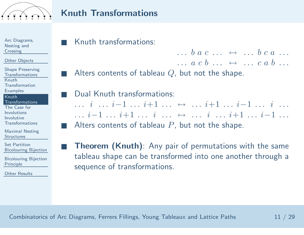

#### Knuth Transformations

Arc [Diagrams,](#page-2-0) Nesting and**Crossing** 

■

■

■

■

■

Other [Objects](#page-10-0)

Shape Preserving [Transformations](#page-18-0)Knuth [Transformation](#page-18-0)**Examples** 

#### Knuth[Transformations](#page-20-0)

The Case for**[Involutions](#page-22-0)**  Involutive[Transformations](#page-23-0)

Maximal Nesting**[Structures](#page-24-0)** 

Set Partition[Bicolouring](#page-41-0) Bijection

[Bicolouring](#page-50-0) BijectionPrinciple

Other [Results](#page-56-0)

Knuth transformations:

 $\cdots$  b a c  $\cdots$   $\leftrightarrow$   $\cdots$  b c a  $\cdots$ <br>a c b  $\cdots$  $a \cdot c \cdot b \cdot \cdots \leftrightarrow \cdots c \cdot a \cdot b \cdot \cdots$ Alters contents of tableau Q, but not the shape.

 Dual Knuth transformations:  $\cdots i \quad \cdots i-1 \; \cdots i+1 \; \cdots \; \leftrightarrow \; \cdots i+1 \; \cdots i-1 \; \cdots \; i \; \cdots$ <br>  $\cdots i-1 \quad \cdots i+1 \; \cdots \; i \; \cdots \; i \; \cdots \; i-1 \; \cdots \; i-1$ . . . <sup>i</sup>−<sup>1</sup> . . . <sup>i</sup>+1 . . . <sup>i</sup> . . . <sup>↔</sup> . . . <sup>i</sup> . . . <sup>i</sup>+1 . . . <sup>i</sup>−<sup>1</sup> . . . Alters contents of tableau  $P$ , but not the shape.

**Theorem (Knuth)**: Any pair of permutations with the same tableau shape can be transformed into one another through <sup>a</sup>sequence of transformations.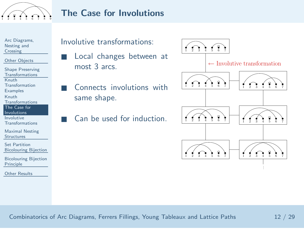<span id="page-22-0"></span>

## The Case for Involutions

Arc [Diagrams,](#page-2-0) Nesting and**Crossing** 

■

■

Other [Objects](#page-10-0)

Shape Preserving [Transformations](#page-18-0)Knuth [Transformation](#page-18-0)**Examples** Knuth [Transformations](#page-20-0)The Case for**[Involutions](#page-22-0)**  Involutive[Transformations](#page-23-0)

Maximal Nesting**[Structures](#page-24-0)** 

Set Partition[Bicolouring](#page-41-0) Bijection

[Bicolouring](#page-50-0) BijectionPrinciple

Other [Results](#page-56-0)

#### Involutive transformations:

- Local changes between at most <sup>3</sup> arcs.
- ■ Connects involutions with same shape.
	- Can be used for induction.

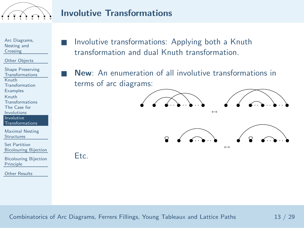<span id="page-23-0"></span>

## Involutive Transformations

Arc [Diagrams,](#page-2-0) Nesting and**Crossing** 

Other [Objects](#page-10-0)

Shape Preserving [Transformations](#page-18-0)Knuth [Transformation](#page-18-0)**Examples** Knuth [Transformations](#page-20-0)The Case for[Involutions](#page-22-0) Involutive [Transformations](#page-23-0)Maximal Nesting

**[Structures](#page-24-0)** 

Set Partition[Bicolouring](#page-41-0) Bijection

[Bicolouring](#page-50-0) BijectionPrinciple

Other [Results](#page-56-0)

 Involutive transformations: Applying both <sup>a</sup> Knuth transformation and dual Knuth transformation.

 New: An enumeration of all involutive transformations in terms of arc diagrams:



Etc.

■

■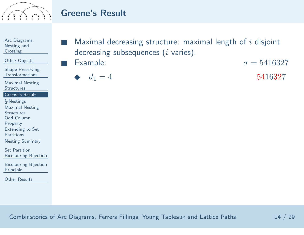<span id="page-24-0"></span>

Arc [Diagrams,](#page-2-0) Nesting and**Crossing** 

Other [Objects](#page-10-0)

Shape Preserving[Transformations](#page-18-0)

Maximal Nesting**[Structures](#page-24-0)** 

[Greene's](#page-24-0) Result

 $\frac{1}{2}$ [-Nestings](#page-29-0) Maximal Nesting

**[Structures](#page-31-0)** 

Odd Column

[Property](#page-35-0)

[Extending](#page-37-0) to Set

**Partitions** 

Nesting [Summary](#page-40-0)

Set Partition[Bicolouring](#page-41-0) Bijection

[Bicolouring](#page-50-0) BijectionPrinciple

Other [Results](#page-56-0)

■Maximal decreasing structure: maximal length of  $i$  disjoint decreasing subsequences  $\left( i\right.$  varies).

■**Example:**  $\sigma = 5416327$ 

$$
\blacklozenge \quad d_1 = 4 \tag{5416327}
$$

Combinatorics of Arc Diagrams, Ferrers Fillings, Young Tableaux and Lattice Paths <sup>14</sup> / <sup>29</sup>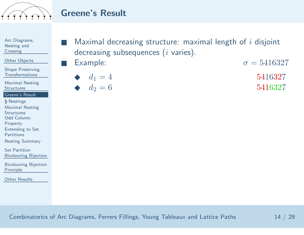

Arc [Diagrams,](#page-2-0) Nesting and**Crossing** 

Other [Objects](#page-10-0)

Shape Preserving[Transformations](#page-18-0)

Maximal Nesting**[Structures](#page-24-0)** 

[Greene's](#page-24-0) Result

 $\frac{1}{2}$ [-Nestings](#page-29-0)

Maximal Nesting

**[Structures](#page-31-0)** 

Odd Column

[Property](#page-35-0)

[Extending](#page-37-0) to Set

**Partitions** 

Nesting [Summary](#page-40-0)

Set Partition[Bicolouring](#page-41-0) Bijection

[Bicolouring](#page-50-0) BijectionPrinciple

Other [Results](#page-56-0)

■Maximal decreasing structure: maximal length of  $i$  disjoint decreasing subsequences  $\left( i\right.$  varies).

■Example:  $\sigma = 5416327$ 

$$
\bullet \quad d_1 = 4 \tag{5416327}
$$

$$
\blacklozenge \quad d_2 = 6 \tag{5416327}
$$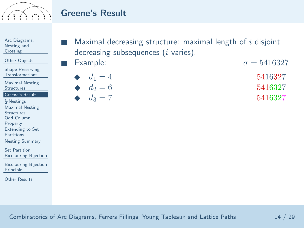

Arc [Diagrams,](#page-2-0) Nesting and**Crossing** 

Other [Objects](#page-10-0)

Shape Preserving[Transformations](#page-18-0)

Maximal Nesting**[Structures](#page-24-0)** 

[Greene's](#page-24-0) Result

 $\frac{1}{2}$ [-Nestings](#page-29-0)

Maximal Nesting

**[Structures](#page-31-0)** 

Odd Column

[Property](#page-35-0)

[Extending](#page-37-0) to Set

Partitions

Nesting [Summary](#page-40-0)

Set Partition[Bicolouring](#page-41-0) Bijection

[Bicolouring](#page-50-0) BijectionPrinciple

Other [Results](#page-56-0)

| $\blacksquare$ Maximal decreasing structure: maximal length of i disjoint |
|---------------------------------------------------------------------------|
| decreasing subsequences $(i$ varies).                                     |

■Example:  $\sigma = 5416327$ 

$$
\begin{array}{ll}\n\bullet & d_1 = 4 \\
d_2 = 6 \\
\bullet & 5416327 \\
\bullet & 1\n\end{array}
$$

$$
\blacklozenge \quad d_3 = 7 \tag{5416327}
$$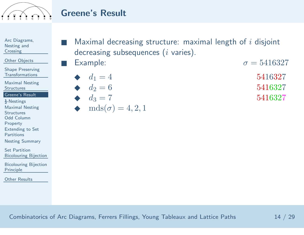

Arc [Diagrams,](#page-2-0) Nesting and**Crossing** 

Other [Objects](#page-10-0)

Shape Preserving[Transformations](#page-18-0)

Maximal Nesting**[Structures](#page-24-0)** 

[Greene's](#page-24-0) Result

 $\frac{1}{2}$ [-Nestings](#page-29-0)

Maximal Nesting

**[Structures](#page-31-0)** 

Odd Column

[Property](#page-35-0)

[Extending](#page-37-0) to Set

**Partitions** 

Nesting [Summary](#page-40-0)

Set Partition[Bicolouring](#page-41-0) Bijection

[Bicolouring](#page-50-0) BijectionPrinciple

Other [Results](#page-56-0)

■Maximal decreasing structure: maximal length of  $i$  disjoint decreasing subsequences  $\left( i\right.$  varies).

■**Example:**  $\sigma = 5416327$ 

- ◆ $d_1 = 4$  5416327  $\frac{d_2}{d_2} = 6$  $d_2 = 6$  5416327
- ◆ $d_3 = 7$  5416327
- ◆ $mds(\sigma) = 4, 2, 1$

Combinatorics of Arc Diagrams, Ferrers Fillings, Young Tableaux and Lattice Paths <sup>14</sup> / <sup>29</sup>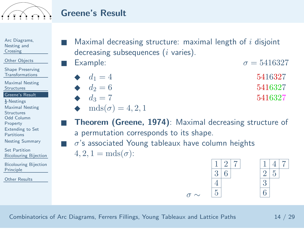

Arc [Diagrams,](#page-2-0) Nesting and**Crossing** 

Other [Objects](#page-10-0)

Shape Preserving[Transformations](#page-18-0)

Maximal Nesting**[Structures](#page-24-0)** 

[Greene's](#page-24-0) Result

 $\frac{1}{2}$ [-Nestings](#page-29-0)

Maximal Nesting

**[Structures](#page-31-0)** 

Odd Column

[Property](#page-35-0)

[Extending](#page-37-0) to Set

■

**Partitions** 

Nesting [Summary](#page-40-0)

Set Partition[Bicolouring](#page-41-0) Bijection

[Bicolouring](#page-50-0) BijectionPrinciple

Other [Results](#page-56-0)

■Maximal decreasing structure: maximal length of  $i$  disjoint decreasing subsequences  $\left( i\right.$  varies).

■**Example:**  $\sigma = 5416327$ 

- ◆ $d_1 = 4$  5416327
- $\rightarrow$   $d_2 = 6$  $d_2 = 6$  5416327
- $\frac{d_3}{7}$  $d_3 = 7$  5416327
- ◆ $mds(\sigma) = 4, 2, 1$

 Theorem (Greene, 1974): Maximal decreasing structure of <sup>a</sup> permutation corresponds to its shape.

 $\sigma \sim$ 

■ $\sigma$ 's associated Young tableaux have column heights  $4, 2, 1 = \mathrm{mds}(\sigma)$ :



Combinatorics of Arc Diagrams, Ferrers Fillings, Young Tableaux and Lattice Paths <sup>14</sup> / <sup>29</sup>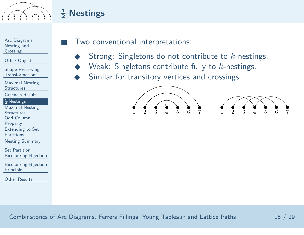<span id="page-29-0"></span>

# $\frac{1}{2}$ -Nestings

■

Arc [Diagrams,](#page-2-0) Nesting and**Crossing** 

Other [Objects](#page-10-0)

Shape Preserving[Transformations](#page-18-0)

Maximal Nesting**[Structures](#page-24-0)** 

[Greene's](#page-24-0) Result

#### $\frac{1}{2}$ [-Nestings](#page-29-0)

Maximal Nesting**[Structures](#page-31-0)**  Odd Column[Property](#page-35-0) [Extending](#page-37-0) to Set**Partitions** 

Nesting [Summary](#page-40-0)

Set Partition[Bicolouring](#page-41-0) Bijection

[Bicolouring](#page-50-0) BijectionPrinciple

Other [Results](#page-56-0)

#### Two conventional interpretations:

- ◆Strong: Singletons do not contribute to  $k$ -nestings.
- ◆Weak: Singletons contribute fully to  $k$ -nestings.
- ◆Similar for transitory vertices and crossings.



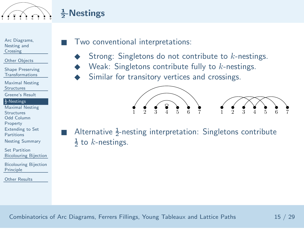

# $\frac{1}{2}$ -Nestings

■

■

Arc [Diagrams,](#page-2-0) Nesting and**Crossing** 

Other [Objects](#page-10-0)

Shape Preserving[Transformations](#page-18-0)

Maximal Nesting**[Structures](#page-24-0)** 

[Greene's](#page-24-0) Result

#### $\frac{1}{2}$ [-Nestings](#page-29-0)

Maximal Nesting**[Structures](#page-31-0)**  Odd Column[Property](#page-35-0)

 [Extending](#page-37-0) to Set**Partitions** 

Nesting [Summary](#page-40-0)

Set Partition[Bicolouring](#page-41-0) Bijection

[Bicolouring](#page-50-0) BijectionPrinciple

Other [Results](#page-56-0)

#### Two conventional interpretations:

- ◆Strong: Singletons do not contribute to  $k$ -nestings.
- ◆Weak: Singletons contribute fully to  $k$ -nestings.
- ◆Similar for transitory vertices and crossings.



Alternative  $\frac{1}{2}$ -nesting interpretation: Singletons contribute  $\frac{1}{2}$  to *k*-nestings.  $\frac{1}{2}$  to  $k$ -nestings.<br><br><br>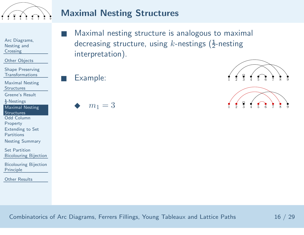<span id="page-31-0"></span>

Arc [Diagrams,](#page-2-0) Nesting and**Crossing** 

Other [Objects](#page-10-0)

Shape Preserving[Transformations](#page-18-0)

Maximal Nesting**[Structures](#page-24-0)** 

[Greene's](#page-24-0) Result

 $\frac{1}{2}$ [-Nestings](#page-29-0)

Maximal Nesting**[Structures](#page-31-0)** 

Odd Column

[Property](#page-35-0)

[Extending](#page-37-0) to Set

**Partitions** 

Nesting [Summary](#page-40-0)

Set Partition[Bicolouring](#page-41-0) Bijection

[Bicolouring](#page-50-0) BijectionPrinciple

Other [Results](#page-56-0)

 Maximal nesting structure is analogous to maximal decreasing structure, using  $k$ -nestings ( $\frac{1}{2}$ -nesting interpretation).

■

■

◆



Combinatorics of Arc Diagrams, Ferrers Fillings, Young Tableaux and Lattice Paths <sup>16</sup> / <sup>29</sup>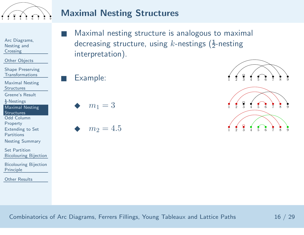

Arc [Diagrams,](#page-2-0) Nesting and**Crossing** 

Other [Objects](#page-10-0)

Shape Preserving[Transformations](#page-18-0)

Maximal Nesting**[Structures](#page-24-0)** 

[Greene's](#page-24-0) Result

 $\frac{1}{2}$ [-Nestings](#page-29-0)

Maximal Nesting**[Structures](#page-31-0)** 

Odd Column

[Property](#page-35-0)

[Extending](#page-37-0) to Set

**Partitions** 

Nesting [Summary](#page-40-0)

Set Partition[Bicolouring](#page-41-0) Bijection

[Bicolouring](#page-50-0) BijectionPrinciple

Other [Results](#page-56-0)

 Maximal nesting structure is analogous to maximal decreasing structure, using  $k$ -nestings ( $\frac{1}{2}$ -nesting interpretation).

■

■

◆

$$
\bullet \quad m_2=4.5
$$

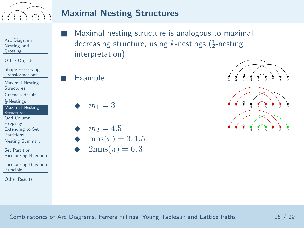

Arc [Diagrams,](#page-2-0) Nesting and**Crossing** 

Other [Objects](#page-10-0)

Shape Preserving[Transformations](#page-18-0)

Maximal Nesting**[Structures](#page-24-0)** 

[Greene's](#page-24-0) Result

 $\frac{1}{2}$ [-Nestings](#page-29-0)

Maximal Nesting**[Structures](#page-31-0)** 

Odd Column

[Property](#page-35-0)

[Extending](#page-37-0) to Set

**Partitions** 

Nesting [Summary](#page-40-0)

Set Partition[Bicolouring](#page-41-0) Bijection

[Bicolouring](#page-50-0) BijectionPrinciple

Other [Results](#page-56-0)

 Maximal nesting structure is analogous to maximal decreasing structure, using  $k$ -nestings ( $\frac{1}{2}$ -nesting interpretation).

■

■

◆

$$
m2 = 4.5
$$
  
\n
$$
m1 2 3 4 5 6 7 8 9
$$
  
\n
$$
2mns(π) = 6,3
$$

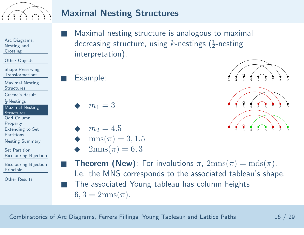

- Arc [Diagrams,](#page-2-0) Nesting and**Crossing**
- Other [Objects](#page-10-0)
- Shape Preserving[Transformations](#page-18-0)
- Maximal Nesting**[Structures](#page-24-0)**
- [Greene's](#page-24-0) Result
- $\frac{1}{2}$ [-Nestings](#page-29-0)
- Maximal Nesting**[Structures](#page-31-0)**
- Odd Column
- [Property](#page-35-0)
- [Extending](#page-37-0) to Set
- **Partitions**
- Nesting [Summary](#page-40-0)
- Set Partition[Bicolouring](#page-41-0) Bijection
- [Bicolouring](#page-50-0) BijectionPrinciple
- Other [Results](#page-56-0)
- ■ Maximal nesting structure is analogous to maximal decreasing structure, using  $k$ -nestings ( $\frac{1}{2}$ -nesting interpretation).
	-

■

- ◆
- ◆
- ◆ $mns(\pi) = 3, 1.5$ ◆ $2{\rm mns}(\pi)=6,3$



- $m_1 = 3$  1 2 3 4 5 6 7 8 9  $m_2 = 4.5$  1 2 3 4 5 6 7 8 9
- ■**Theorem (New)**: For involutions  $\pi$ ,  $2mns(\pi) = mds(\pi)$ .<br>I.e. the MNS corresponds to the associated tableau's shape. ■ The associated Young tableau has column heights  $6, 3 = 2 \mathrm{mns}(\pi).$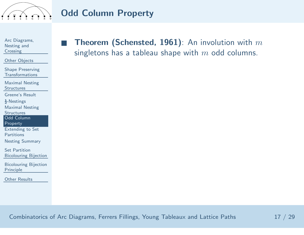<span id="page-35-0"></span>

## Odd Column Property

Arc [Diagrams,](#page-2-0) Nesting and**Crossing** 

■

Other [Objects](#page-10-0)

Shape Preserving[Transformations](#page-18-0)

Maximal Nesting**[Structures](#page-24-0)** 

[Greene's](#page-24-0) Result

 $\frac{1}{2}$ [-Nestings](#page-29-0)

Maximal Nesting

**[Structures](#page-31-0)** 

Odd Column

[Property](#page-35-0)

 [Extending](#page-37-0) to SetPartitions

Nesting [Summary](#page-40-0)

Set Partition[Bicolouring](#page-41-0) Bijection

[Bicolouring](#page-50-0) BijectionPrinciple

Other [Results](#page-56-0)

**Theorem (Schensted, 1961)**: An involution with  $m$ singletons has a tableau shape with  $m$  odd columns.

Combinatorics of Arc Diagrams, Ferrers Fillings, Young Tableaux and Lattice Paths  $17 \;/ \;29$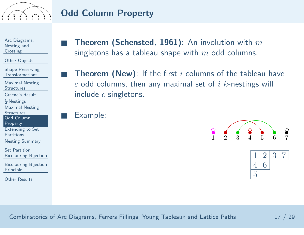

### Odd Column Property

Arc [Diagrams,](#page-2-0) Nesting and**Crossing** 

Other [Objects](#page-10-0)

Shape Preserving[Transformations](#page-18-0)

Maximal Nesting**[Structures](#page-24-0)** 

[Greene's](#page-24-0) Result

 $\frac{1}{2}$ [-Nestings](#page-29-0)

Maximal Nesting

**[Structures](#page-31-0)** 

 Odd Column[Property](#page-35-0)

 [Extending](#page-37-0) to Set**Partitions** 

Nesting [Summary](#page-40-0)

Set Partition[Bicolouring](#page-41-0) Bijection

[Bicolouring](#page-50-0) BijectionPrinciple

Other [Results](#page-56-0)

**Theorem (Schensted, 1961)**: An involution with  $m$ singletons has a tableau shape with  $m$  odd columns.

**Theorem (New)**: If the first i columns of the tableau have  $\,c$  odd columns, then any maximal set of  $i$   $k$ -nestings will include  $\it c$  singletons.

Example:

■

■

■





Combinatorics of Arc Diagrams, Ferrers Fillings, Young Tableaux and Lattice Paths  $17 \;/ \;29$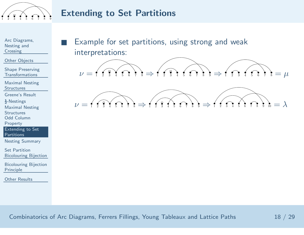<span id="page-37-0"></span>

#### Extending to Set Partitions

Arc [Diagrams,](#page-2-0) Nesting and**Crossing** 

■

Other [Objects](#page-10-0)

Shape Preserving[Transformations](#page-18-0)

Maximal Nesting**[Structures](#page-24-0)** 

[Greene's](#page-24-0) Result

 $\frac{1}{2}$ [-Nestings](#page-29-0)

Maximal Nesting

**[Structures](#page-31-0)** 

Odd Column

[Property](#page-35-0)

 [Extending](#page-37-0) to SetPartitions

Nesting [Summary](#page-40-0)

Set Partition[Bicolouring](#page-41-0) Bijection

[Bicolouring](#page-50-0) BijectionPrinciple

Other [Results](#page-56-0)

 Example for set partitions, using strong and weak interpretations:



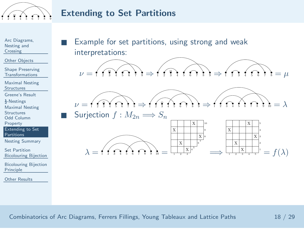

#### Extending to Set Partitions

Arc [Diagrams,](#page-2-0) Nesting and**Crossing** 

■

■

λ

Other [Objects](#page-10-0)

Shape Preserving[Transformations](#page-18-0)

Maximal Nesting**[Structures](#page-24-0)** 

[Greene's](#page-24-0) Result

 $\frac{1}{2}$ [-Nestings](#page-29-0)

Maximal Nesting

**[Structures](#page-31-0)** 

Odd Column

[Property](#page-35-0)

 [Extending](#page-37-0) to SetPartitions

Nesting [Summary](#page-40-0)

Set Partition[Bicolouring](#page-41-0) Bijection

[Bicolouring](#page-50-0) BijectionPrinciple

Other [Results](#page-56-0)

 Example for set partitions, using strong and weak interpretations:





■ Surjection  $f : M_{2n} \Longrightarrow S_n$ 



Combinatorics of Arc Diagrams, Ferrers Fillings, Young Tableaux and Lattice Paths <sup>18</sup> / <sup>29</sup>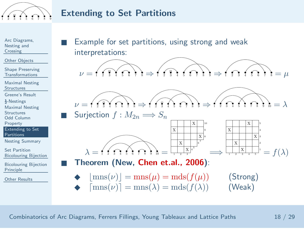

#### Extending to Set Partitions

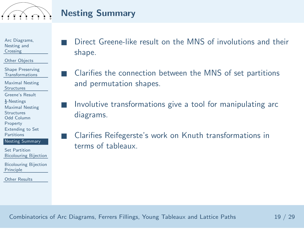<span id="page-40-0"></span>

#### Nesting Summary

■

■

■

Arc [Diagrams,](#page-2-0) Nesting andCrossing

Other [Objects](#page-10-0)

Shape Preserving[Transformations](#page-18-0)

Maximal Nesting**[Structures](#page-24-0)** 

[Greene's](#page-24-0) Result

 $\frac{1}{2}$ [-Nestings](#page-29-0)

Maximal Nesting

**[Structures](#page-31-0)** 

Odd Column

[Property](#page-35-0)

 [Extending](#page-37-0) to Set**Partitions** 

Nesting [Summary](#page-40-0)

Set Partition[Bicolouring](#page-41-0) Bijection

[Bicolouring](#page-50-0) BijectionPrinciple

Other [Results](#page-56-0)

 Direct Greene-like result on the MNS of involutions and their shape.

 Clarifies the connection between the MNS of set partitions and permutation shapes.

■ Involutive transformations <sup>g</sup>ive <sup>a</sup> tool for manipulating arc diagrams.

 Clarifies Reifegerste's work on Knuth transformations in terms of tableaux.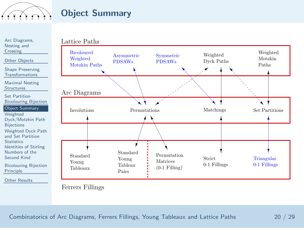<span id="page-41-0"></span>

## Object Summary

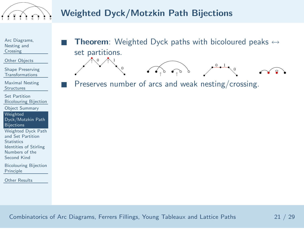<span id="page-42-0"></span>

# Weighted Dyck/Motzkin Path Bijections

Arc [Diagrams,](#page-2-0) Nesting and**Crossing** 

■

■

Other [Objects](#page-10-0)

Shape Preserving[Transformations](#page-18-0)

Maximal Nesting**[Structures](#page-24-0)** 

Set Partition[Bicolouring](#page-41-0) Bijection

Object [Summary](#page-41-0)

Weighted[Dyck/Motzkin](#page-42-0) Path

**Bijections** 

 [Weighted](#page-44-0) Dyck Pathand Set Partition**Statistics**  Identities of [Stirling](#page-46-0)Numbers of the

Second Kind

[Bicolouring](#page-50-0) BijectionPrinciple

Other [Results](#page-56-0)

**Theorem**: Weighted Dyck paths with bicoloured peaks  $\leftrightarrow$ set partitions.

 $\bigwedge^{0}$   $\bigwedge^{1}$ 0<sup>↑</sup> <sup>↑</sup>  $\frac{0}{2}$  1 0

Preserves number of arcs and weak nesting/crossing.

Combinatorics of Arc Diagrams, Ferrers Fillings, Young Tableaux and Lattice Paths  $\hspace{1.5cm}21 \;/ \;29$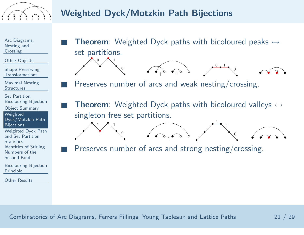

Arc [Diagrams,](#page-2-0) Nesting and**Crossing** 

■

■

■

 $\bigwedge^{0}$   $\bigwedge^{1}$ 

↑

 $1 / 1$ 

0

0

Other [Objects](#page-10-0)

Shape Preserving[Transformations](#page-18-0)

Maximal Nesting**[Structures](#page-24-0)** 

Set Partition[Bicolouring](#page-41-0) Bijection

Object [Summary](#page-41-0)

Weighted[Dyck/Motzkin](#page-42-0) Path

**Bijections** 

 [Weighted](#page-44-0) Dyck Pathand Set Partition**Statistics**  Identities of [Stirling](#page-46-0)Numbers of theSecond Kind

[Bicolouring](#page-50-0) BijectionPrinciple

Other [Results](#page-56-0)

**Theorem**: Weighted Dyck paths with bicoloured peaks  $\leftrightarrow$ set partitions.

 $\frac{0}{2}$  1

1

1

0

0

<sup>↑</sup> <sup>↑</sup>

Preserves number of arcs and weak nesting/crossing.

■**Theorem**: Weighted Dyck paths with bicoloured valleys  $\leftrightarrow$ singleton free set partitions.

Preserves number of arcs and strong nesting/crossing.

↑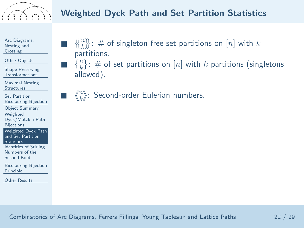<span id="page-44-0"></span>

■

■

■

Arc [Diagrams,](#page-2-0) Nesting and**Crossing** 

Other [Objects](#page-10-0)

Shape Preserving[Transformations](#page-18-0)

Maximal Nesting**[Structures](#page-24-0)** 

Set Partition[Bicolouring](#page-41-0) Bijection

Object [Summary](#page-41-0)

Weighted

 [Dyck/Motzkin](#page-42-0) Path**Bijections** 

 [Weighted](#page-44-0) Dyck Pathand Set Partition

**Statistics** 

 Identities of [Stirling](#page-46-0)Numbers of theSecond Kind

[Bicolouring](#page-50-0) BijectionPrinciple

Other [Results](#page-56-0)

- $\{ \{n\} \}_{n=1}^{n}$   $\}$ : # of singleton free set partitions on  $[n]$  with  $k$ partitions.
- $\{n\}: \#$  of set partitions on  $[n]$  with k partitions (singletons) allowed).

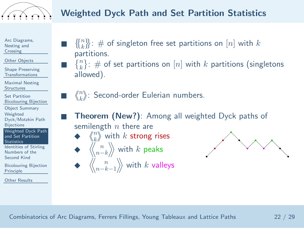

■

■

■

■

◆

◆

Arc [Diagrams,](#page-2-0) Nesting and**Crossing** 

Other [Objects](#page-10-0)

Shape Preserving[Transformations](#page-18-0)

Maximal Nesting**[Structures](#page-24-0)** 

Set Partition[Bicolouring](#page-41-0) Bijection

Object [Summary](#page-41-0)

Weighted

 [Dyck/Motzkin](#page-42-0) Path**Bijections** 

 [Weighted](#page-44-0) Dyck Pathand Set Partition**Statistics** 

 Identities of [Stirling](#page-46-0)Numbers of theSecond Kind

[Bicolouring](#page-50-0) BijectionPrinciple

Other [Results](#page-56-0)

- $\{X_k^n\}$ : # of singleton free set partitions on  $[n]$  with  $k$ partitions.
- $\{n\}: \#$  of set partitions on  $[n]$  with k partitions (singletons) allowed).
- $\blacksquare$   $\left\langle\!\!{n \atop k}\!\! \right\rangle\!\!$ : Second-order Eulerian numbers.



Theorem (New?): Among all weighted Dyck paths of

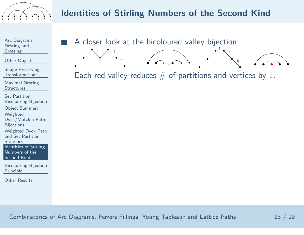<span id="page-46-0"></span>

Arc [Diagrams,](#page-2-0) Nesting and**Crossing** 

■

↑

 $1 / \sqrt{1}$ 

0

Other [Objects](#page-10-0)

Shape Preserving[Transformations](#page-18-0)

Maximal Nesting**[Structures](#page-24-0)** 

Set Partition[Bicolouring](#page-41-0) Bijection

Object [Summary](#page-41-0)

Weighted

[Dyck/Motzkin](#page-42-0) Path

**Bijections** 

[Weighted](#page-44-0) Dyck Path

and Set Partition

**Statistics** 

 Identities of [Stirling](#page-46-0)Numbers of theSecond Kind

[Bicolouring](#page-50-0) BijectionPrinciple

Other [Results](#page-56-0)

<sup>A</sup> closer look at the bicoloured valley bijection:

Each red valley reduces  $#$  of partitions and vertices by 1.

1

1

0

↑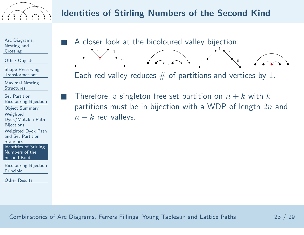

Arc [Diagrams,](#page-2-0) Nesting and**Crossing** 

■

■

↑

 $1 / \sqrt{1}$ 

0

Other [Objects](#page-10-0)

Shape Preserving[Transformations](#page-18-0)

Maximal Nesting**[Structures](#page-24-0)** 

Set Partition[Bicolouring](#page-41-0) Bijection

Object [Summary](#page-41-0)

Weighted

[Dyck/Motzkin](#page-42-0) Path

**Bijections** 

[Weighted](#page-44-0) Dyck Path

and Set Partition

**Statistics** 

 Identities of [Stirling](#page-46-0)Numbers of theSecond Kind

[Bicolouring](#page-50-0) BijectionPrinciple

Other [Results](#page-56-0)

<sup>A</sup> closer look at the bicoloured valley bijection:

Each red valley reduces  $#$  of partitions and vertices by 1.

1

1

0

↑

 $\blacksquare$  Therefore, a singleton free set partition on  $n+k$  with  $k$ partitions must be in bijection with a WDP of length  $2n$  and  $n-k$  red valleys.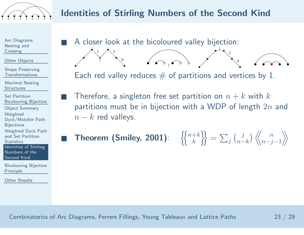

 $\sqrt{\bullet}$ 

Arc [Diagrams,](#page-2-0) Nesting and**Crossing** 

■

■

■

↑

 $1 / \sqrt{1}$ 

0

Other [Objects](#page-10-0)

Shape Preserving[Transformations](#page-18-0)

Maximal Nesting**[Structures](#page-24-0)** 

Set Partition [Bicolouring](#page-41-0) BijectionObject [Summary](#page-41-0)

Weighted

 [Dyck/Motzkin](#page-42-0) Path**Bijections** 

[Weighted](#page-44-0) Dyck Path

and Set Partition**Statistics** 

 Identities of [Stirling](#page-46-0)Numbers of theSecond Kind

[Bicolouring](#page-50-0) BijectionPrinciple

Other [Results](#page-56-0)

<sup>A</sup> closer look at the bicoloured valley bijection:

Each red valley reduces  $#$  of partitions and vertices by 1.

1

1

0

 $\blacksquare$  Therefore, a singleton free set partition on  $n+k$  with  $k$ partitions must be in bijection with a WDP of length  $2n$  and  $n-k$  red valleys.

■ Theorem (Smiley, 2001):  $\left|\left\{\begin{smallmatrix} n+k \ k \end{smallmatrix}\right\}\right|=\sum_j \binom{j}{n-k} \left\langle \!\!\left\langle\begin{smallmatrix} n \ n-j-1 \end{smallmatrix}\right\rangle\!\!\right|$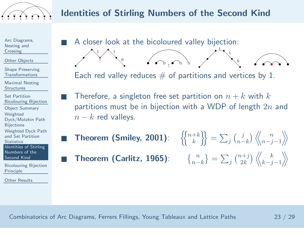

Arc [Diagrams,](#page-2-0) Nesting and**Crossing** 

■

■

■

■

↑

 $1 / \sqrt{1}$ 

0

Other [Objects](#page-10-0)

Shape Preserving[Transformations](#page-18-0)

Maximal Nesting**[Structures](#page-24-0)** 

Set Partition [Bicolouring](#page-41-0) BijectionObject [Summary](#page-41-0)Weighted [Dyck/Motzkin](#page-42-0) Path**Bijections**  [Weighted](#page-44-0) Dyck Pathand Set Partition**Statistics**  Identities of [Stirling](#page-46-0)Numbers of theSecond Kind

[Bicolouring](#page-50-0) BijectionPrinciple

Other [Results](#page-56-0)

 <sup>A</sup> closer look at the bicoloured valley bijection: 1

Each red valley reduces  $#$  of partitions and vertices by 1.

 $\left\langle \left\langle \bullet\right\rangle _{0}\right\rangle _{0}\right\rangle _{0}=\left\langle \left\langle \bullet\right\rangle _{0}\right\rangle _{0}=\left\langle \bullet\right\rangle _{0}=\left\langle \bullet\right\rangle _{0}=\left\langle \bullet\right\rangle _{0}=\left\langle \bullet\right\rangle _{0}=\left\langle \bullet\right\rangle _{0}=\left\langle \bullet\right\rangle _{0}=\left\langle \bullet\right\rangle _{0}=\left\langle \bullet\right\rangle _{0}=\left\langle \bullet\right\rangle _{0}=\left\langle \bullet\right\rangle _{0}=\left\langle \bullet\right\rangle _{0}=\left\langle \bullet\right\r$ 

- $\blacksquare$  Therefore, a singleton free set partition on  $n+k$  with  $k$ partitions must be in bijection with a WDP of length  $2n$  and  $n-k$  red valleys.
	- Theorem (Smiley, 2001):

Theorem (Carlitz, 1965):

 $\left\{\begin{matrix}+k\k\end{matrix}\right\} = \sum_j \binom{j}{n-k} \left\langle \begin{matrix}n\ m-j-1\end{matrix}\right\rangle$  $\{n-k\} = \sum_j \binom{n+j}{2k} \langle k \choose k-j-1}$ 

1

0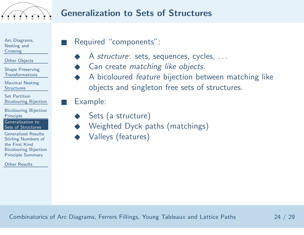<span id="page-50-0"></span>

Arc [Diagrams,](#page-2-0) Nesting and**Crossing** 

Other [Objects](#page-10-0)

Shape Preserving[Transformations](#page-18-0)

Maximal Nesting**[Structures](#page-24-0)** 

Set Partition[Bicolouring](#page-41-0) Bijection

[Bicolouring](#page-50-0) BijectionPrinciple

 [Generalization](#page-50-0) toSets of Structures

[Generalized](#page-51-0) Results [Stirling](#page-52-0) Numbers of the First Kind [Bicolouring](#page-55-0) BijectionPrinciple Summary

Other [Results](#page-56-0)

Required "components":

- ◆A *structure*: sets, sequences, cycles, ...
- ◆Can create *matching like objects*.
- <sup>A</sup> bicoloured feature bijection between matching like objects and singleton free sets of structures.

■Example:

■

- ◆Sets (a structure)
- ◆Weighted Dyck paths (matchings)
- ◆Valleys (features)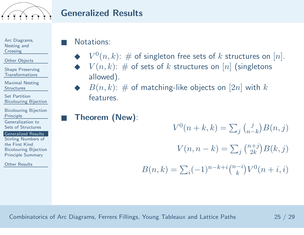<span id="page-51-0"></span>

#### Generalized Results

Arc [Diagrams,](#page-2-0) Nesting and**Crossing** 

Other [Objects](#page-10-0)

Shape Preserving[Transformations](#page-18-0)

Maximal Nesting**[Structures](#page-24-0)** 

Set Partition[Bicolouring](#page-41-0) Bijection

[Bicolouring](#page-50-0) BijectionPrinciple

 [Generalization](#page-50-0) toSets of Structures

[Generalized](#page-51-0) Results

 [Stirling](#page-52-0) Numbers of the First Kind [Bicolouring](#page-55-0) BijectionPrinciple Summary

Other [Results](#page-56-0)

#### Notations:

■

■

- ◆  $V^0(n,k)$ :  $\#$  of singleton free sets of  $k$  structures on  $[n]$ .<br>◆  $V(n,k)$ :  $\#$  of sets of  $k$  structures on  $[n]$  (singletons  $\blacktriangleright$   $V(n, k)$ :  $\#$  of sets of  $k$  structures on  $[n]$  (singletons) allowed).
- ◆ $B(n, k)$ : # of matching-like objects on  $[2n]$  with k features.
- Theorem (New):

 $V^0(n+k, k) = \sum_j {j \choose n-k} B(n, j)$  $V(n, n-k) = \sum_j {n+j \choose 2k} B(k, j)$  $B(n, k) = \sum_i (-1)^{n-k+i} \binom{n-i}{k} V^0(n+i, i)$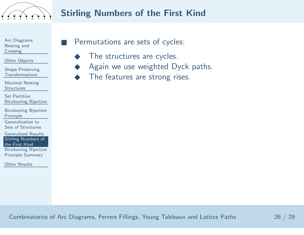<span id="page-52-0"></span>

■

## Stirling Numbers of the First Kind

Arc [Diagrams,](#page-2-0) Nesting andCrossing

Other [Objects](#page-10-0)

Shape Preserving[Transformations](#page-18-0)

Maximal Nesting**[Structures](#page-24-0)** 

Set Partition[Bicolouring](#page-41-0) Bijection

[Bicolouring](#page-50-0) BijectionPrinciple

 [Generalization](#page-50-0) toSets of Structures

[Generalized](#page-51-0) Results [Stirling](#page-52-0) Numbers of the First Kind [Bicolouring](#page-55-0) BijectionPrinciple Summary

Other [Results](#page-56-0)

#### Permutations are sets of cycles:

- ◆The structures are cycles.
- ◆Again we use weighted Dyck paths.
- ◆The features are strong rises.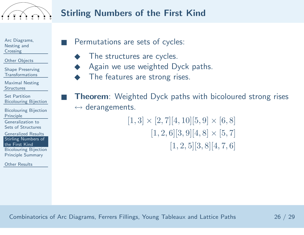

## Stirling Numbers of the First Kind

Arc [Diagrams,](#page-2-0) Nesting and**Crossing** 

■

■

Other [Objects](#page-10-0)

Shape Preserving[Transformations](#page-18-0)

Maximal Nesting**[Structures](#page-24-0)** 

Set Partition[Bicolouring](#page-41-0) Bijection

[Bicolouring](#page-50-0) BijectionPrinciple

 [Generalization](#page-50-0) toSets of Structures

[Generalized](#page-51-0) Results [Stirling](#page-52-0) Numbers of the First Kind [Bicolouring](#page-55-0) BijectionPrinciple Summary

Other [Results](#page-56-0)

Permutations are sets of cycles:

- ◆The structures are cycles.
- ◆Again we use weighted Dyck paths.
- ◆The features are strong rises.

**Theorem:** Weighted Dyck paths with bicoloured strong rises  $\leftrightarrow$  derangements.

 $[1, 3] \times [2, 7] [4, 10] [5, 9] \times [6, 8]$  $[1, 2, 6][3, 9][4, 8] \times [5, 7]$  $[1, 2, 5] [3, 8] [4, 7, 6]$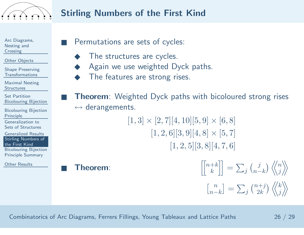

■

■

## Stirling Numbers of the First Kind

Arc [Diagrams,](#page-2-0) Nesting and**Crossing** 

Other [Objects](#page-10-0)

Shape Preserving[Transformations](#page-18-0)

Maximal Nesting**[Structures](#page-24-0)** 

Set Partition[Bicolouring](#page-41-0) Bijection

[Bicolouring](#page-50-0) BijectionPrinciple

 [Generalization](#page-50-0) toSets of Structures

[Generalized](#page-51-0) Results [Stirling](#page-52-0) Numbers of the First Kind [Bicolouring](#page-55-0) BijectionPrinciple Summary

Other [Results](#page-56-0)

Permutations are sets of cycles:

- ◆The structures are cycles.
- ◆Again we use weighted Dyck paths.
- ◆The features are strong rises.

**Theorem**: Weighted Dyck paths with bicoloured strong rises  $\leftrightarrow$  derangements.

 $[1, 3] \times [2, 7] [4, 10] [5, 9] \times [6, 8]$  $[1, 2, 6][3, 9][4, 8] \times [5, 7]$  $[1, 2, 5] [3, 8] [4, 7, 6]$ 

■

■ Theorem:  $\begin{bmatrix} \begin{bmatrix} n+k \ k \end{bmatrix} \end{bmatrix} = \sum_j \begin{pmatrix} j \\ n-k \end{pmatrix} \begin{Bmatrix} \begin{Bmatrix} n \\ j \end{Bmatrix} \end{Bmatrix}$  $\overline{\mathbb{L}}$  $\binom{n}{n-k} = \sum_j \binom{n+j}{2k} \langle k \rangle$ 

Combinatorics of Arc Diagrams, Ferrers Fillings, Young Tableaux and Lattice Paths <sup>26</sup> / <sup>29</sup>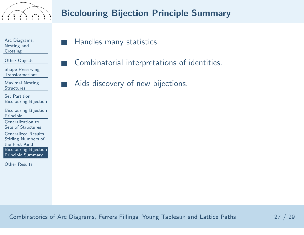<span id="page-55-0"></span>

Arc [Diagrams,](#page-2-0) Nesting and**Crossing** 

■

■

■

Other [Objects](#page-10-0)

Shape Preserving[Transformations](#page-18-0)

Maximal Nesting**[Structures](#page-24-0)** 

Set Partition[Bicolouring](#page-41-0) Bijection

[Bicolouring](#page-50-0) BijectionPrinciple[Generalization](#page-50-0) to

Sets of Structures

[Generalized](#page-51-0) Results [Stirling](#page-52-0) Numbers of the First Kind [Bicolouring](#page-55-0) BijectionPrinciple Summary

Other [Results](#page-56-0)

Handles many statistics.

Combinatorial interpretations of identities.

Aids discovery of new bijections.

Combinatorics of Arc Diagrams, Ferrers Fillings, Young Tableaux and Lattice Paths <sup>27</sup> / <sup>29</sup>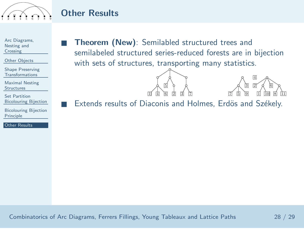<span id="page-56-0"></span>

## Other Results

■

■

Arc [Diagrams,](#page-2-0) Nesting and**Crossing** 

Other [Objects](#page-10-0)

Shape Preserving[Transformations](#page-18-0)

Maximal Nesting**[Structures](#page-24-0)** 

Set Partition[Bicolouring](#page-41-0) Bijection

[Bicolouring](#page-50-0) BijectionPrinciple

Other [Results](#page-56-0)

 Theorem (New): Semilabled structured trees and semilabeled structured series-reduced forests are in bijectionwith sets of structures, transporting many statistics.





Extends results of Diaconis and Holmes, Erdös and Székely.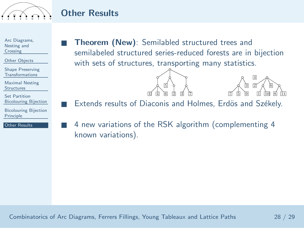

## Other Results

■

■

■

| Arc Diagrams, |  |
|---------------|--|
| Nesting and   |  |
| Crossing      |  |
|               |  |

Other [Objects](#page-10-0)

Shape Preserving[Transformations](#page-18-0)

Maximal Nesting**[Structures](#page-24-0)** 

Set Partition[Bicolouring](#page-41-0) Bijection

[Bicolouring](#page-50-0) BijectionPrinciple

Other [Results](#page-56-0)

 Theorem (New): Semilabled structured trees and semilabeled structured series-reduced forests are in bijectionwith sets of structures, transporting many statistics.





Extends results of Diaconis and Holmes, Erdös and Székely.

 <sup>4</sup> new variations of the RSK algorithm (complementing <sup>4</sup> known variations).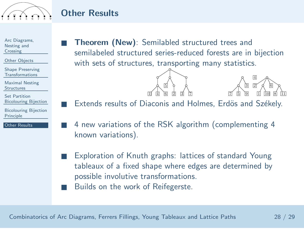

## Other Results

■

■

■

Arc [Diagrams,](#page-2-0) Nesting andCrossing

Other [Objects](#page-10-0)

Shape Preserving[Transformations](#page-18-0)

Maximal Nesting**[Structures](#page-24-0)** 

Set Partition[Bicolouring](#page-41-0) Bijection

[Bicolouring](#page-50-0) BijectionPrinciple

Other [Results](#page-56-0)

 Theorem (New): Semilabled structured trees and semilabeled structured series-reduced forests are in bijectionwith sets of structures, transporting many statistics.





Extends results of Diaconis and Holmes, Erdös and Székely.

- <sup>4</sup> new variations of the RSK algorithm (complementing <sup>4</sup> known variations).
- ■ Exploration of Knuth graphs: lattices of standard Young tableaux of <sup>a</sup> fixed shape where edges are determined bypossible involutive transformations.
- ■Builds on the work of Reifegerste.